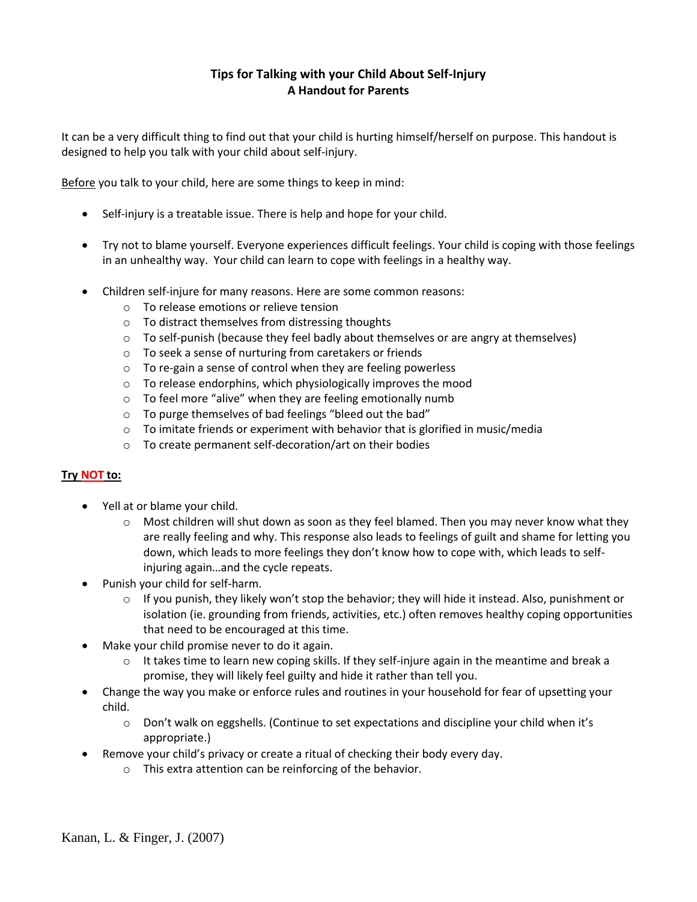# **Tips for Talking with your Child About Self-Injury A Handout for Parents**

It can be a very difficult thing to find out that your child is hurting himself/herself on purpose. This handout is designed to help you talk with your child about self-injury.

Before you talk to your child, here are some things to keep in mind:

- Self-injury is a treatable issue. There is help and hope for your child.
- Try not to blame yourself. Everyone experiences difficult feelings. Your child is coping with those feelings in an unhealthy way. Your child can learn to cope with feelings in a healthy way.
- Children self-injure for many reasons. Here are some common reasons:
	- o To release emotions or relieve tension
	- o To distract themselves from distressing thoughts
	- $\circ$  To self-punish (because they feel badly about themselves or are angry at themselves)
	- o To seek a sense of nurturing from caretakers or friends
	- o To re-gain a sense of control when they are feeling powerless
	- o To release endorphins, which physiologically improves the mood
	- o To feel more "alive" when they are feeling emotionally numb
	- o To purge themselves of bad feelings "bleed out the bad"
	- $\circ$  To imitate friends or experiment with behavior that is glorified in music/media
	- o To create permanent self-decoration/art on their bodies

## **Try NOT to:**

- Yell at or blame your child.
	- $\circ$  Most children will shut down as soon as they feel blamed. Then you may never know what they are really feeling and why. This response also leads to feelings of guilt and shame for letting you down, which leads to more feelings they don't know how to cope with, which leads to selfinjuring again…and the cycle repeats.
- Punish your child for self-harm.
	- $\circ$  If you punish, they likely won't stop the behavior; they will hide it instead. Also, punishment or isolation (ie. grounding from friends, activities, etc.) often removes healthy coping opportunities that need to be encouraged at this time.
- Make your child promise never to do it again.
	- $\circ$  It takes time to learn new coping skills. If they self-injure again in the meantime and break a promise, they will likely feel guilty and hide it rather than tell you.
- Change the way you make or enforce rules and routines in your household for fear of upsetting your child.
	- o Don't walk on eggshells. (Continue to set expectations and discipline your child when it's appropriate.)
- Remove your child's privacy or create a ritual of checking their body every day.
	- o This extra attention can be reinforcing of the behavior.